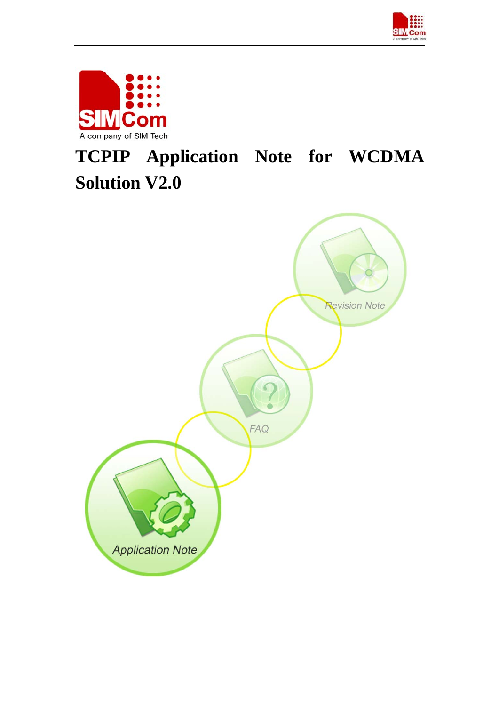



# **TCPIP Application Note for WCDMA Solution V2.0**

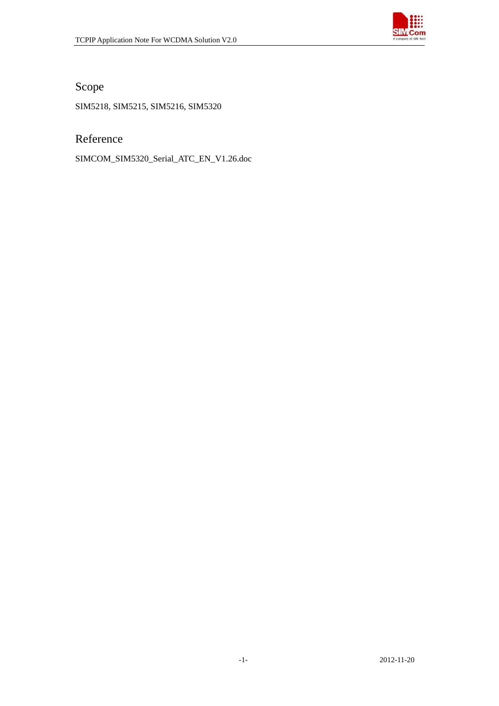

Scope

SIM5218, SIM5215, SIM5216, SIM5320

Reference

SIMCOM\_SIM5320\_Serial\_ATC\_EN\_V1.26.doc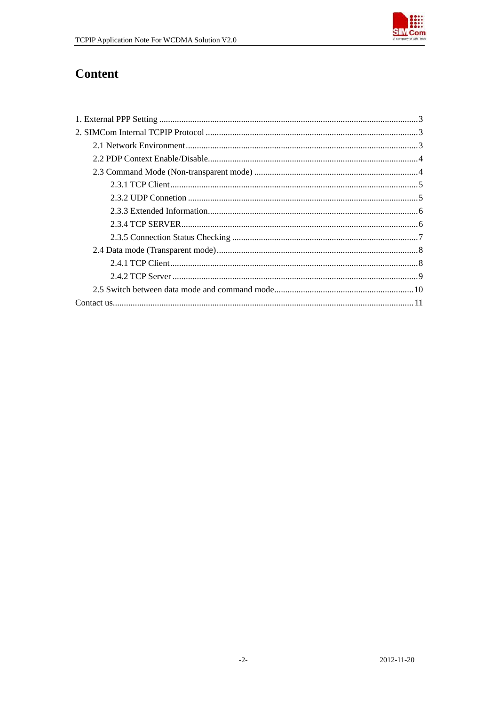

# Content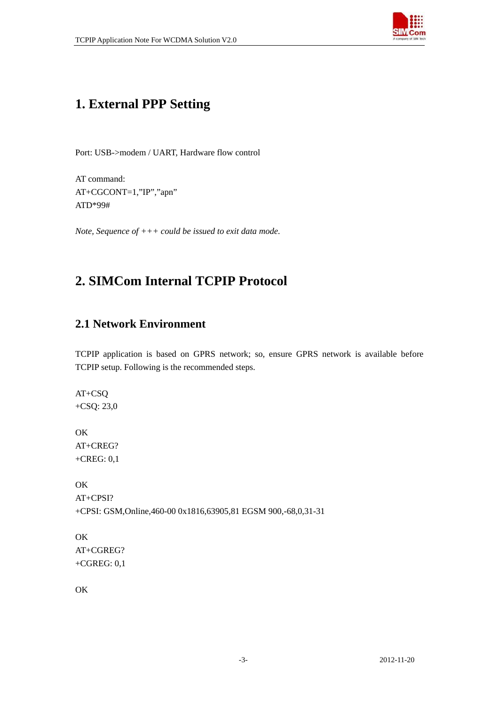

# <span id="page-3-0"></span>**1. External PPP Setting**

Port: USB->modem / UART, Hardware flow control

AT command: AT+CGCONT=1,"IP","apn" ATD\*99#

*Note, Sequence of +++ could be issued to exit data mode.* 

# **2. SIMCom Internal TCPIP Protocol**

### **2.1 Network Environment**

TCPIP application is based on GPRS network; so, ensure GPRS network is available before TCPIP setup. Following is the recommended steps.

AT+CSQ +CSQ: 23,0

OK AT+CREG? +CREG: 0,1

OK AT+CPSI? +CPSI: GSM,Online,460-00 0x1816,63905,81 EGSM 900,-68,0,31-31

OK AT+CGREG? +CGREG: 0,1

OK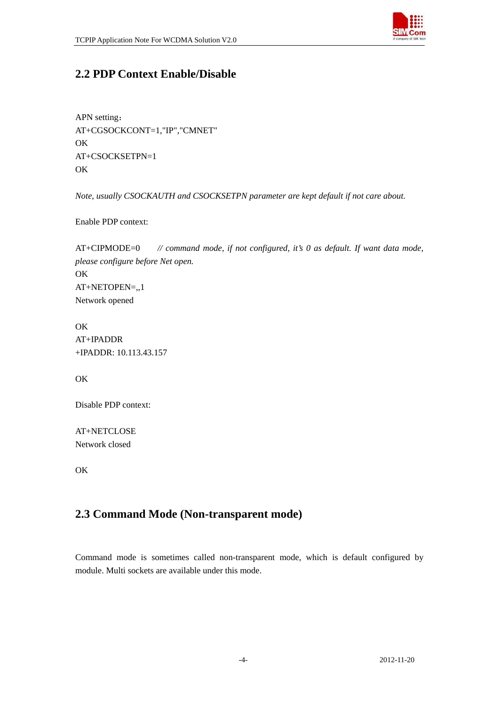

# <span id="page-4-0"></span>**2.2 PDP Context Enable/Disable**

APN setting: AT+CGSOCKCONT=1,"IP","CMNET" OK AT+CSOCKSETPN=1 **OK** 

*Note, usually CSOCKAUTH and CSOCKSETPN parameter are kept default if not care about.* 

Enable PDP context:

AT+CIPMODE=0 *// command mode, if not configured, it's 0 as default. If want data mode, please configure before Net open.* OK AT+NETOPEN=,,1 Network opened

**OK** AT+IPADDR +IPADDR: 10.113.43.157

**OK** 

Disable PDP context:

AT+NETCLOSE Network closed

**OK** 

## **2.3 Command Mode (Non-transparent mode)**

Command mode is sometimes called non-transparent mode, which is default configured by module. Multi sockets are available under this mode.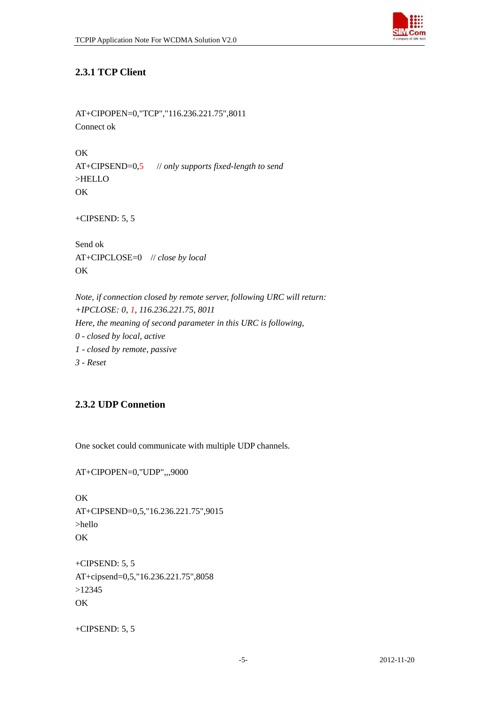

#### <span id="page-5-0"></span>**2.3.1 TCP Client**

AT+CIPOPEN=0,"TCP","116.236.221.75",8011 Connect ok

OK AT+CIPSEND=0,5 // *only supports fixed-length to send*  >HELLO OK

+CIPSEND: 5, 5

Send ok AT+CIPCLOSE=0 // *close by local*  **OK** 

*Note, if connection closed by remote server, following URC will return: +IPCLOSE: 0, 1, 116.236.221.75, 8011 Here, the meaning of second parameter in this URC is following, 0 - closed by local, active 1 - closed by remote, passive 3 - Reset* 

#### **2.3.2 UDP Connetion**

One socket could communicate with multiple UDP channels.

AT+CIPOPEN=0,"UDP",,,9000

OK AT+CIPSEND=0,5,"16.236.221.75",9015 >hello **OK** 

+CIPSEND: 5, 5 AT+cipsend=0,5,"16.236.221.75",8058 >12345 OK

+CIPSEND: 5, 5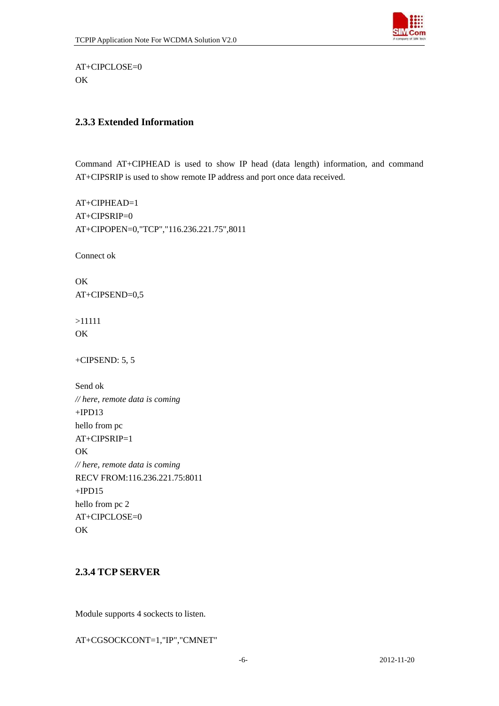

<span id="page-6-0"></span>AT+CIPCLOSE=0 OK

#### **2.3.3 Extended Information**

Command AT+CIPHEAD is used to show IP head (data length) information, and command AT+CIPSRIP is used to show remote IP address and port once data received.

AT+CIPHEAD=1 AT+CIPSRIP=0 AT+CIPOPEN=0,"TCP","116.236.221.75",8011

Connect ok

**OK** AT+CIPSEND=0,5

>11111 OK

+CIPSEND: 5, 5

Send ok *// here, remote data is coming*   $+IPD13$ hello from pc  $AT+CIPSRIP=1$ OK *// here, remote data is coming*  RECV FROM:116.236.221.75:8011  $+IPD15$ hello from pc 2 AT+CIPCLOSE=0 OK

#### **2.3.4 TCP SERVER**

Module supports 4 sockects to listen.

AT+CGSOCKCONT=1,"IP","CMNET"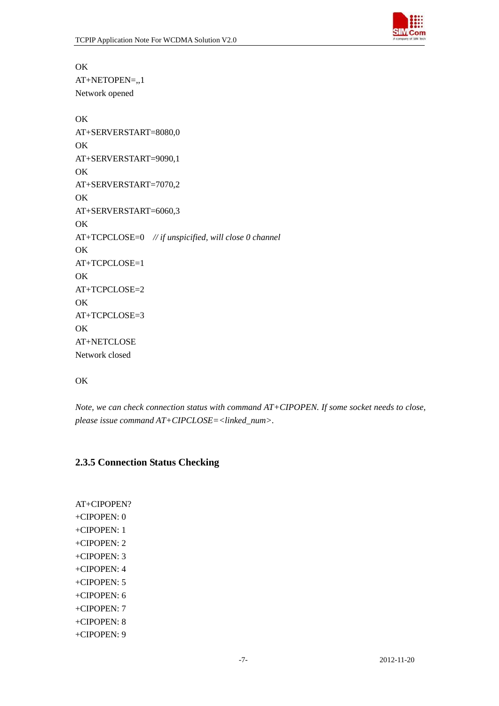

<span id="page-7-0"></span>OK AT+NETOPEN=,,1 Network opened

OK AT+SERVERSTART=8080,0 OK AT+SERVERSTART=9090,1 OK AT+SERVERSTART=7070,2 **OK** AT+SERVERSTART=6060,3 OK AT+TCPCLOSE=0 *// if unspicified, will close 0 channel* OK AT+TCPCLOSE=1 **OK** AT+TCPCLOSE=2 OK AT+TCPCLOSE=3 OK AT+NETCLOSE Network closed

#### **OK**

*Note, we can check connection status with command AT+CIPOPEN. If some socket needs to close, please issue command AT+CIPCLOSE=<linked\_num>.* 

#### **2.3.5 Connection Status Checking**

AT+CIPOPEN? +CIPOPEN: 0 +CIPOPEN: 1 +CIPOPEN: 2 +CIPOPEN: 3 +CIPOPEN: 4 +CIPOPEN: 5 +CIPOPEN: 6 +CIPOPEN: 7 +CIPOPEN: 8 +CIPOPEN: 9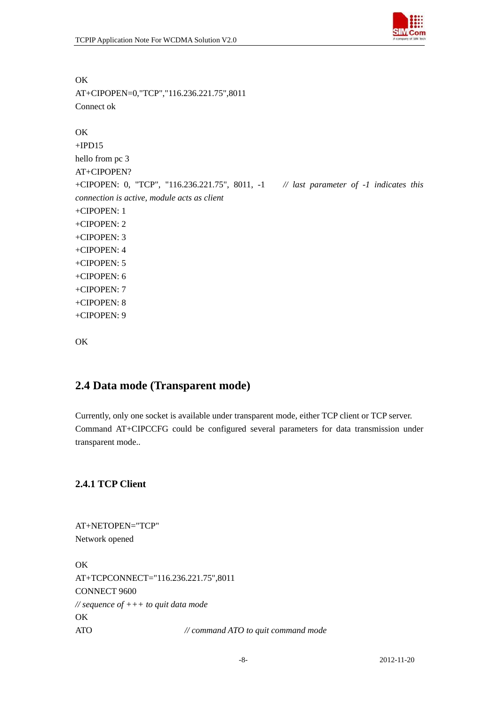

AT+CIPOPEN=0,"TCP","116.236.221.75",8011 Connect ok **OK**  $+IPD15$ hello from pc 3 AT+CIPOPEN? +CIPOPEN: 0, "TCP", "116.236.221.75", 8011, -1 *// last parameter of -1 indicates this connection is active, module acts as client*  +CIPOPEN: 1 +CIPOPEN: 2 +CIPOPEN: 3 +CIPOPEN: 4 +CIPOPEN: 5 +CIPOPEN: 6 +CIPOPEN: 7 +CIPOPEN: 8 +CIPOPEN: 9

```
OK
```
<span id="page-8-0"></span>OK

## **2.4 Data mode (Transparent mode)**

Currently, only one socket is available under transparent mode, either TCP client or TCP server. Command AT+CIPCCFG could be configured several parameters for data transmission under transparent mode..

#### **2.4.1 TCP Client**

AT+NETOPEN="TCP" Network opened **OK** AT+TCPCONNECT="116.236.221.75",8011 CONNECT 9600 *// sequence of +++ to quit data mode*  OK ATO *// command ATO to quit command mode*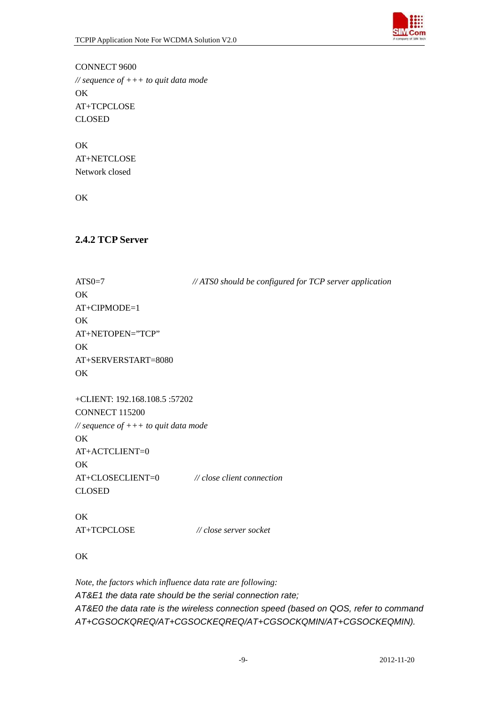

<span id="page-9-0"></span>CONNECT 9600 *// sequence of +++ to quit data mode*  OK AT+TCPCLOSE CLOSED

OK AT+NETCLOSE Network closed

OK

#### **2.4.2 TCP Server**

| $ATS0=7$                                    | // ATS0 should be configured for TCP server application |
|---------------------------------------------|---------------------------------------------------------|
| OK                                          |                                                         |
| AT+CIPMODE=1                                |                                                         |
| OK                                          |                                                         |
| AT+NETOPEN="TCP"                            |                                                         |
| OK                                          |                                                         |
| AT+SERVERSTART=8080                         |                                                         |
| OK                                          |                                                         |
| +CLIENT: 192.168.108.5 :57202               |                                                         |
| <b>CONNECT 115200</b>                       |                                                         |
| // sequence of $++$ to quit data mode       |                                                         |
| OK                                          |                                                         |
| AT+ACTCLIENT=0                              |                                                         |
| OK                                          |                                                         |
| AT+CLOSECLIENT=0 // close client connection |                                                         |
| <b>CLOSED</b>                               |                                                         |
| OK                                          |                                                         |
| AT+TCPCLOSE                                 | // close server socket                                  |

OK

*Note, the factors which influence data rate are following: AT&E1 the data rate should be the serial connection rate; AT&E0 the data rate is the wireless connection speed (based on QOS, refer to command AT+CGSOCKQREQ/AT+CGSOCKEQREQ/AT+CGSOCKQMIN/AT+CGSOCKEQMIN).*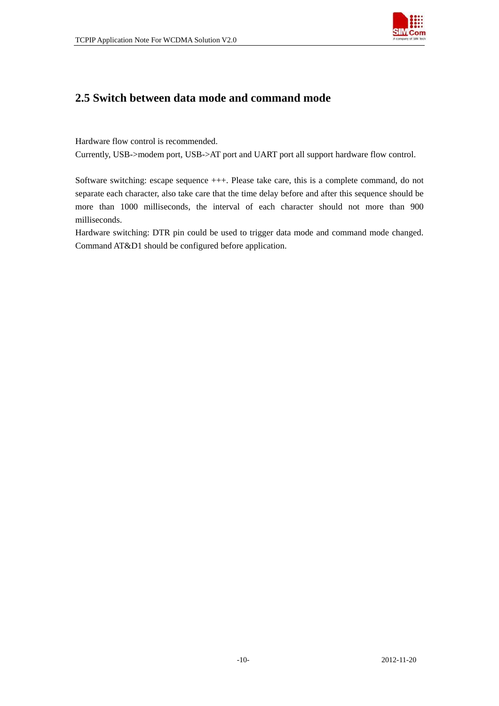

## <span id="page-10-0"></span>**2.5 Switch between data mode and command mode**

Hardware flow control is recommended.

Currently, USB->modem port, USB->AT port and UART port all support hardware flow control.

Software switching: escape sequence +++. Please take care, this is a complete command, do not separate each character, also take care that the time delay before and after this sequence should be more than 1000 milliseconds, the interval of each character should not more than 900 milliseconds.

Hardware switching: DTR pin could be used to trigger data mode and command mode changed. Command AT&D1 should be configured before application.